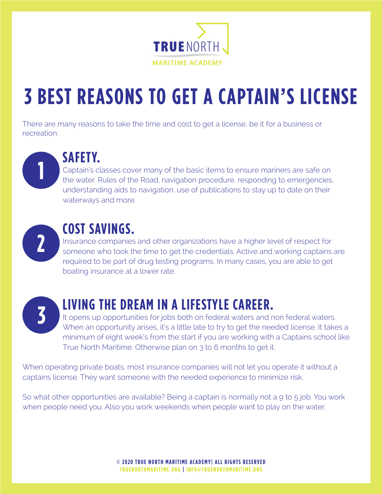

# **3 BEST REASONS TO GET A CAPTAIN'S LICENSE**

There are many reasons to take the time and cost to get a license, be it for a business or recreation.



#### **SAFETY.**

Captain's classes cover many of the basic items to ensure mariners are safe on the water. Rules of the Road, navigation procedure, responding to emergencies, understanding aids to navigation, use of publications to stay up to date on their waterways and more.



#### **COST SAVINGS.**

Insurance companies and other organizations have a higher level of respect for someone who took the time to get the credentials. Active and working captains are required to be part of drug testing programs. In many cases, you are able to get boating insurance at a lower rate.



### **LIVING THE DREAM IN A LIFESTYLE CAREER.**

It opens up opportunities for jobs both on federal waters and non federal waters. When an opportunity arises, it's a little late to try to get the needed license. It takes a minimum of eight week's from the start if you are working with a Captains school like True North Maritime. Otherwise plan on 3 to 6 months to get it.

When operating private boats, most insurance companies will not let you operate it without a captains license. They want someone with the needed experience to minimize risk.

So what other opportunities are available? Being a captain is normally not a 9 to 5 job. You work when people need you. Also you work weekends when people want to play on the water.